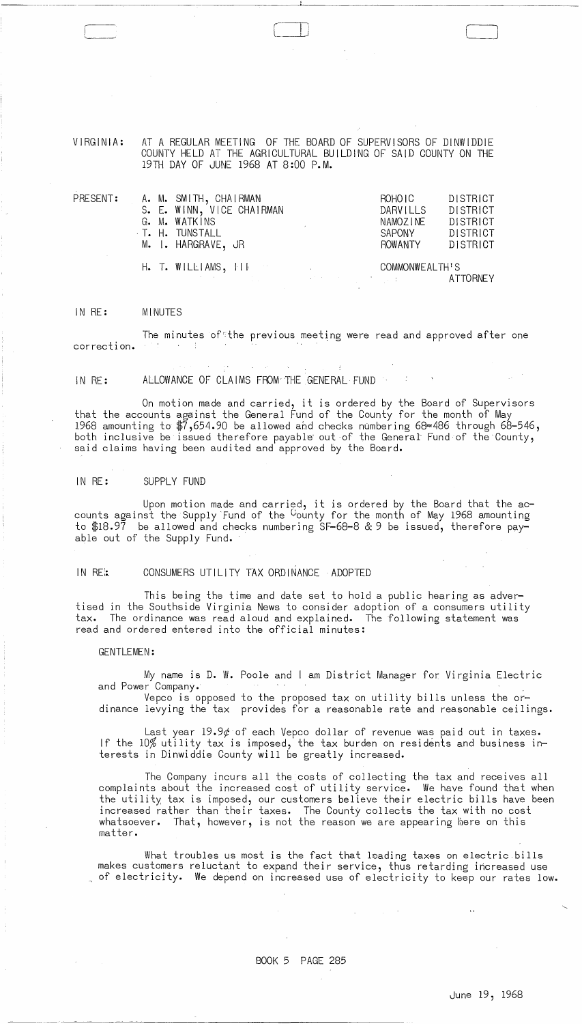VIRGINIA: AT A REGULAR MEETING OF THE BOARD OF SUPERVISORS OF DINWIDDIE COUNTY HELD AT THE AGRICULTURAL BUILDING OF SAID COUNTY ON THE 19TH DAY OF JUNE 1968 AT 8:00 P.M.

 $\bigl($ 

| $\mathsf{PRESENT:}$ |  | A. M. SMITH, CHAIRMAN     |                                                                                                                                                                                                                                                       | ROHO I C       | DISTRICT        |  |
|---------------------|--|---------------------------|-------------------------------------------------------------------------------------------------------------------------------------------------------------------------------------------------------------------------------------------------------|----------------|-----------------|--|
|                     |  | S. E. WINN, VICE CHAIRMAN |                                                                                                                                                                                                                                                       | DARVILLS       | <b>DISTRICT</b> |  |
|                     |  | G. M. WATKINS             |                                                                                                                                                                                                                                                       | NAMOZ INE      | <b>DISTRICT</b> |  |
|                     |  | T. H. TUNSTALL            |                                                                                                                                                                                                                                                       | SAPONY         | DISTRICT        |  |
|                     |  | M. I. HARGRAVE, JR        |                                                                                                                                                                                                                                                       | <b>ROWANTY</b> | DISTRICT        |  |
|                     |  | $H. T. WILLIAMS, \Pi$     |                                                                                                                                                                                                                                                       |                | COMMONWEALTH'S  |  |
|                     |  |                           | $\mathcal{L}^{\mathcal{L}}$ , where $\mathcal{L}^{\mathcal{L}}$ is the contribution of the contribution of the contribution of the contribution of the contribution of the contribution of the contribution of the contribution of the contribution o |                | ATTORNEY        |  |

#### IN RE: MINUTES

The minutes of the previous meeting were read and approved after one correction. **Contract Contract** 

IN RE: ALLOWANCE OF CLAIMS FROM-THE GENERAL FUND

On motion made and carried, it is ordered by the Board of Supervisors that the accounts against the General Fund of the County for the month of May 1968 amounting to  $\text{\#}7,$ 654.90 be allowed and checks numbering 68=486 through 68-546, both inclusive be issued therefore payable out of the General Fund of the County, said claims having been audited and approved by the Board.

# IN RE: SUPPLY FUND

Upon motion made and carried, it is ordered by the Board that the accounts against the Supply Fund of the Gounty for the month of May 1968 amounting to \$18.97 be allowed and checks numbering SF-68-8 & 9 be issued, therefore payable out of the Supply Fund.

# IN RE::. CONSUMERS UTILITY TAX ORDINANCE ADOPTED

This being the time and date set to hold a public hearing as advertised in the Southside Virginia News to consider adoption of a consumers utility tax. The ordinance was read aloud and explained. The following statement was read and ordered entered into the official minutes:

# GENTLEMEN:

----------

My name is D. W. Poole and I am District Manager for Virginia Electric and Power Company.

Vepco is opposed to the proposed tax on utility bills unless the or-  $\,$ dinance levying the tax provides for a reasonable rate and reasonable ceilings.

Last year 19.9 $\ell$  of each Vepco dollar of revenue was paid out in taxes. If the 10% utility tax is imposed, the tax burden on residents and business interests in Dinwiddie County will be greatly increased.

The Company incurs all the costs of collecting the tax and receives all complaints about the increased cost of utility service. We have found that when the utility tax is imposed, our customers believe their electric bills have been increased rather than their taxes. The County collects the tax with no cost whatsoever. That, however, is not the reason we are appearing here on this matter.

What troubles us most is the fact that loading taxes on electric bills makes customers reluctant to expand their service, thus retarding increased use <sup>~</sup>of electricity. We depend on increased use of electricity to keep our rates low.

 $\label{eq:2.1} \mathcal{L}(\mathbf{y},\mathbf{y})=\mathcal{L}(\mathbf{y},\mathbf{y})\mathcal{L}(\mathbf{y},\mathbf{y})\mathcal{L}(\mathbf{y},\mathbf{y})$ 

 $\sim$ 

 $\sim$   $\sim$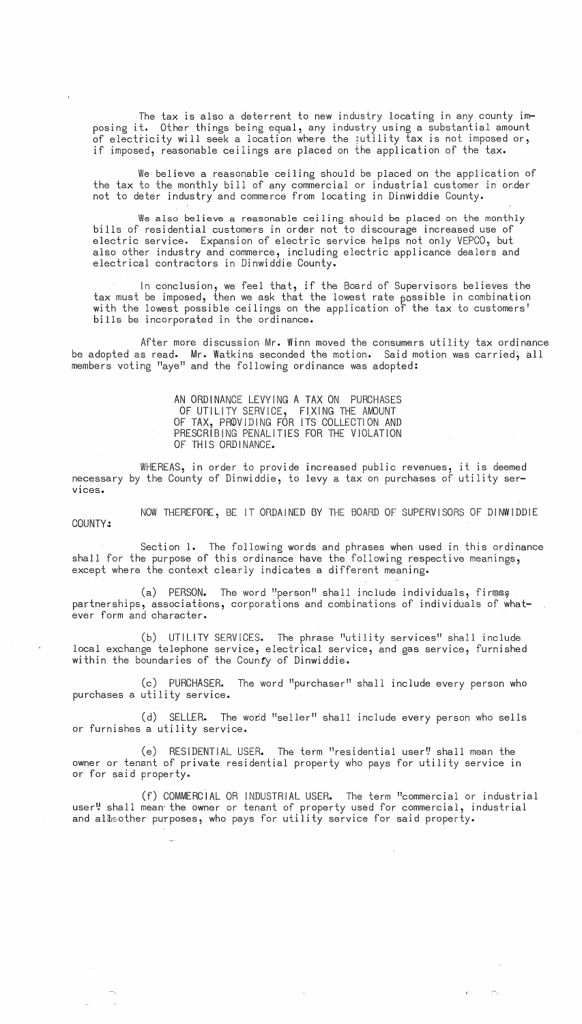The tax is also a deterrent to new industry locating in any county **im**posing **it.** Other things being equal, any industry using a substantial amount of electricity will seek a location where the ;utility tax is not imposed or, if imposed, reasonable ceilings are placed on the application of the tax.

We believe a reasonable ceiling should be placed on the application of the tax to the monthly bill of any commercial or industrial customer in order not to deter industry and commerce from locating in Dinwiddie County.

We also believe a reasonable ceiling should be placed on the monthly bills of residential customers in order not to discourage increased use of electric service. Expansion of electric service helps not only VEPCO, but also other industry and commerce, including electric applicance dealers and electrical contractors in Dinwiddie County.

In conclusion, we feel that, if the Board of Supervisors believes the tax must be imposed, then we ask that the lowest rate  $_{\beta}$ ossible in combination with the lowest possible ceilings on the application of the tax to customers' bills be incorporated in the ordinance.

After more discussion Mr. Winn moved the consumers utility tax ordinance be adopted as read. Mr. Watkins seconded the motion. Said motion was carried, all members voting "aye" and the following ordinance was adopted:

> AN ORDINANCE LEVYING A TAX ON PURCHASES OF UTILITY SERVICE, FIXING THE AMOUNT OF TAX, PROVIDING FOR ITS COLLECTION AND PRESCRIBING PENALITIES FOR THE VIOLATION OF THIS ORDINANCE.

WHEREAS, in order to provide increased public revenues, it is deemed necessary by the County of Dinwiddie, to levy a tax on purchases of utility ser-VIces.

NOW THEREFORE, BE IT ORDAINED BY THE BOARD OF SUPERVISORS OF DINWIDDIE COUNTY:

Section **1.** The following words and phrases when used in this ordinance shall for the purpose of this ordinance have the following respective meanings, except where the context clearly indicates a different meaning.

(a) PERSON. The word "person" shall include individuals, firmss partnerships, associations, corporations and combinations of individuals of whatever form and character.

(b) UTILITY SERVICES. The phrase "utility services" shall include local exchange telephone service, electrical service, and gas service, furnished within the boundaries of the County of Dinwiddie.

(c) PURCHASER. The word "purchaser" shall include every person who purchases a utility service.

(d) SELLER. The word "seller" shall include every person who sells or furnishes a utility service.

(e) RESIDENTIAL USER. The term "residential user" shall mean the owner or tenant of private residential property who pays for utility service in or for said property.

(f) COMMERCIAL OR INDUSTRIAL USER. The term "commercial or industrial user! shall mean the owner or tenant of property used for commercial, industrial and albeother purposes, who pays for utility service for said property.

 $\langle \sigma \rangle$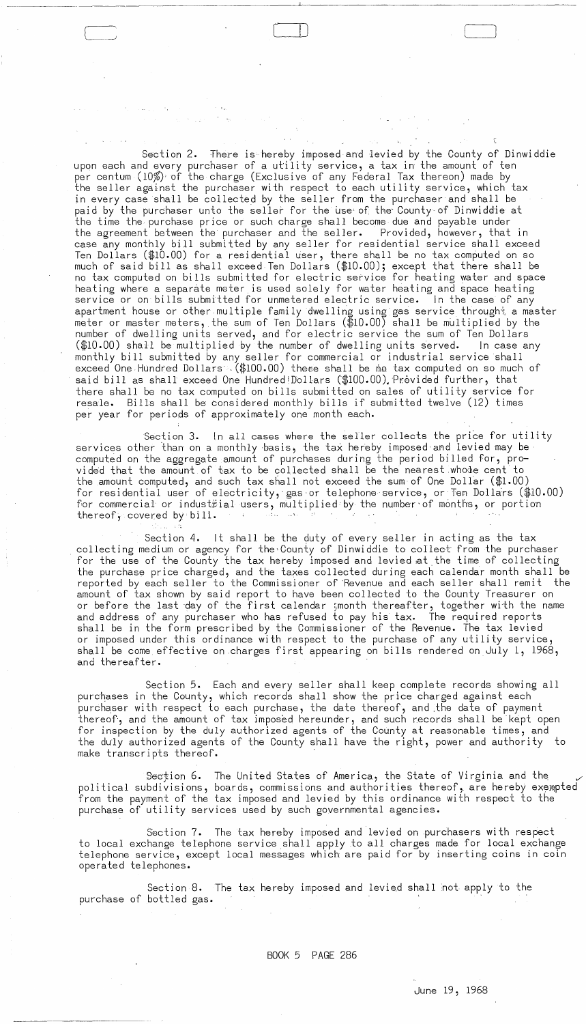Section 2. There is hereby imposed and levied by the County of Dinwiddie upon each and every purchaser of a utility service, a tax in the amount of ten per centum (10%) of the charge (Exclusive of any Federal Tax thereon) made by the seller against the purchaser with respect to each utility service, which tax in every case shall be collected by the seller from the purchaser and shall be paid by the purchaser unto the seller for the use of the County-of Dinwiddie at the time the purchase price or such charge shall become due and payable under the agreement between the purchaser and the seller. Provided, however, that in case any monthly bill submitted by any seller for residential service shall exceed Ten Dollars ( $$10.00$ ) for a residential user, there shall be no tax computed on so much of said bill as shall exceed Ten Dollars (\$10.00); except that there shall be no tax computed on bills submitted for electric service for heating water and space heating where a separate meter is used solely for water heating and space heating service or on bills submitted for unmetered electric service. in the case of any apartment house or other multiple family dwelling using gas service through\* a master meter or master meters, the sum of Ten Dollars  $(\text{$10.00$})$  shall be multiplied by the number of dwelling units served, and for electric service the sum of Ten Dollars (\$10.00) shall be multiplied by the number of dwelling units served. In case any monthly bill submitted by any seller for commercial or industrial service shall exceed One Hundred Dollars .(\$100.00) these shall be no tax computed on so much of said bill as shall exceed One Hundred!Dollars (\$100.00). Provided further, that there shall be no tax computed on bills submitted on sales of utility service for resale. Bills shall be considered monthly bills if submitted twelve (12) times per year for periods of approximately one month each.

-~--~~~---~~~-------------------------"'--------------~----------

 $\Box$ 

Section 3. In all cases where the seller collects the price for utility services other than on a monthly basis, the tax hereby imposed and levied may be computed on the aggregate amount of purchases during the period billed for, pro vided that the amount of tax to be collected shall be the nearest whole cent to the amount computed, and such tax shall not exceed the sum of One Dollar ( $$1.00$ ) for residential user of electricity, gas or telephone service, or Ten Dollars (\$10.00) for commercial or industiial users, multiplied by the number of months, or portion thereof, covered by bill. thereof, covered by bill.  $\sim 40\%$ rini sa

Section 4. it shall be the duty of every seller in acting as the tax collecting medium or agency for the County of Dinwiddie to collect from the purchaser for the use of the County the tax hereby imposed and levied at the time of collecting the purchase price charged, and the taxes collected during each calendar month shall be reported by each seller to the Commissioner of 'Revenue and each seller shall remit the amount of tax shown by said report to have been collected to the County Treasurer on or before the last day of the first calendar ;month thereafter, together with the name and address of any purchaser who has refused to pay his tax. The required reports shall be in the form prescribed by the Commissioner of the Revenue. The tax levied or imposed under this ordinance with respect to the purchase of any utility service, shall be come effective on charges first appearing on bills rendered on July 1, 1968, and thereafter.

Section 5. Each and every seller shall keep complete records showing all purchases in the County, which records shall show the price charged against each purchaser with respect to each purchase, the date thereof, and the date of payment thereof, and the amount of tax imposed hereunder, and such records shall be kept open for inspection by the duly authorized agents of the County at reasonable times, and the duly authorized agents of the County shall have the right, power and authority to make transcripts thereof.

Section 6. The United States of America, the State of Virginia and the political subdivisions, boards, commissions and authorities thereof, are hereby exempted from the payment of the tax imposed and levied by this ordinance with respect to the purchase of utility services used by such governmental agencies.

Section 7. The tax hereby imposed and levied on purchasers wi th respect to local exchange telephone service shall apply to all charges made for local exchange telephone service, except local messages which are paid for by inserting coins in coin operated telephones.

Section 8. The tax hereby imposed and levied shall not apply to the purchase of bottled gas.

BOOK 5 PAGE 286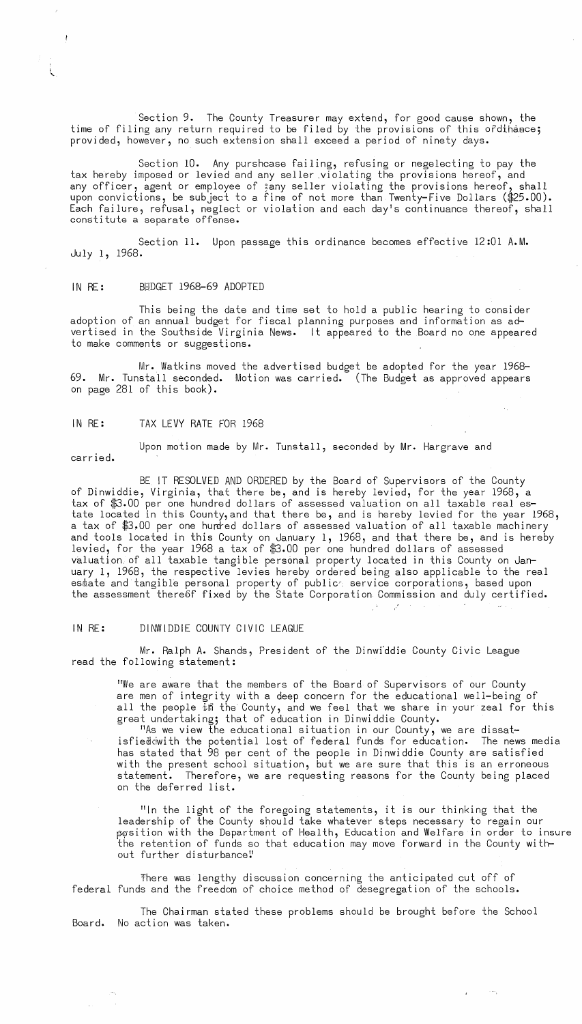Section 9. The County Treasurer may extend, for good cause shown, the time of filing any return required to be filed by the provisions of this ofdihance; provided, however, no such extension shall exceed a period of ninety days.

Section 10. Any purshcase failing, refusing or negelecting to pay the tax hereby imposed or levied and any seller .violating the provisions hereof, and any officer, agent or employee of ;any seller violating the provisions hereof, shall upon convictions, be subject to a fine of not more than Twenty-Five Dollars (\$25.00). Each failure, refusal, neglect or violation and each day's continuance thereof, shall constitute a separate offense.

Section 11. Upon passage this ordinance becomes effective 12:01 A.M. July 1, 1968.

### IN RE: BUDGET 1968-69 ADOPTED

This being the date and time set to hold a public hearing to consider adoption of an annual budget for fiscal planning purposes and information as advertised in the Southside Virginia News. It appeared to the Board no one appeared to make comments or suggestions.

Mr. Watkins moved the advertised budget be adopted for the year 1968- 69. Mr. Tunstall seconded. Motion was carried. (The Budget as approved appears on page 281 of this book).

### IN RE: TAX LEVY RATE FOR 1968

l.<br>.

Upon motion made by Mr. Tunstall, seconded by Mr. Hargrave and carr ied.

BE IT RESOLVED AND ORDERED by the Board of Supervisors of the County of Dinwiddie, Virginia, that there be, and is hereby levied, for the year 1968, a tax of \$3.00 per one hundred dollars of assessed valuation on all taxable real estate located in this County,and that there be, and is hereby levied for the year 1968, a tax of \$3.00 per one hunred dollars of assessed valuation of all taxable machinery and tools located in this County on January 1, 1968, and that there be, and is hereby levied, for the year 1968 a tax of \$3.00 per one hundred dollars of assessed valuation. of all taxable tangible personal property located in this County on January 1, 1968, the respective levies hereby ordered being also applicable to the real estate and tangible personal property of publice service corporations, based upon the assessment thereof fixed by the State Corporation Commission and duly certified.

# IN RE: DINWIDDIE COUNTY CIVIC LEAGUE

Mr. Ralph A. Shands, President of the Dinwi'ddie County Civic League read the following statement:

"We are aware that the members of the Board of Supervisors of our County are men of integrity with a deep concern for the educational well-being of all the people in the County, and we feel that we share in your zeal for this great undertaking; that of education in Dinwiddie County.

"As we view the educational situation in our County, we are dissatisfieddwith the potential lost of federal funds for education. The news media has stated that 98 per cent of the people in Dinwiddie County are satisfied with the present school situation, but we are sure that this is an erroneous statement. Therefore, we are requesting reasons for the County being placed on the deferred list.

"In the light of the foregoing statements, it is our thinking that the leadership of the County should take whatever steps necessary to regain our pqsition with the Department of Health, Education and Welfare in order to insure the retention of funds so that education may move forward in the County without further disturbance"

 $\hat{E}^{(1)}$  and  $\hat{E}^{(2)}$ 

~here was lengthy discussion concerning the anticipated cut off of federal funds and the freedom of choice method of desegregation of the schools.

The Chairman stated these problems should be brought before the School Board. No action was taken.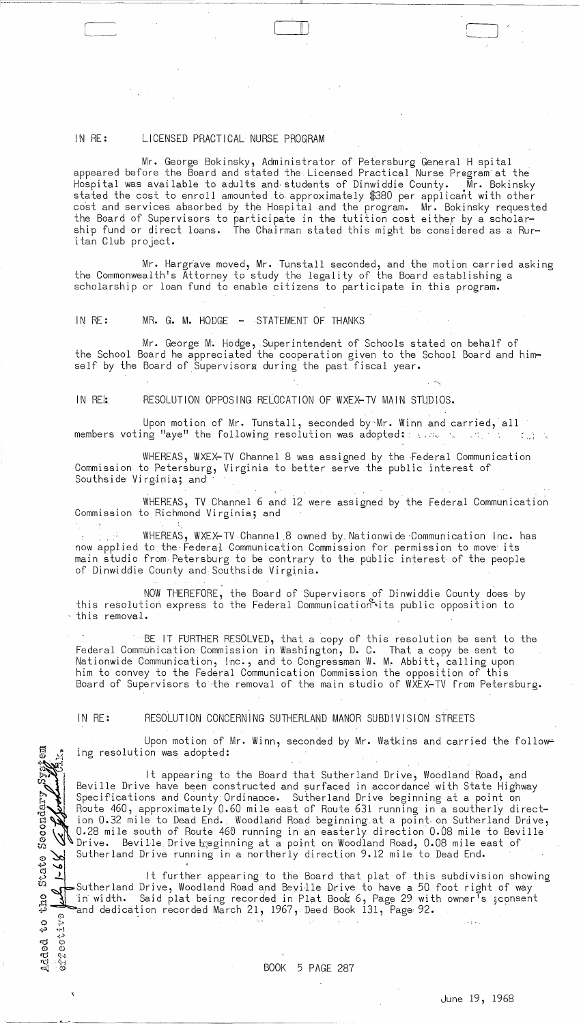# IN RE: LICENSED PRACTICAL NURSE PROGRAM

Mr. George Bokinsky, Administrator of Petersburg General H spital appeared before the Board and stated the Licensed Practical Nurse Pregramat the Hospital was available to adults and· students of Dinwiddie County. Mr. Bokinsky stated the cost to enroll amounted to approximately \$380 per applicant with other cost and services absorbed by the Hospital and the program. Mr. Bokinsky requested the Board of Supervisors to participate in the tutition cost either by a scholarship fund or direct loans. The Chairman stated this might be considered as a Ruritan Club project.

 $\Box$ 

Mr. Hargrave moved, Mr. Tunstall seconded, and the motion carried asking the Commonwealth's Attorney tp study the legality of the Board establishing a scholarship or loan fund to enable citizens to participate in this program.

# IN RE: MR. G. M. HODGE - STATEMENT OF THANKS

Mr. George M. Hodge, Superintendent of Schools stated on behalf of the School Board he appreciated the cooperation given to the School Board and himself by the Board of Supervisors during the past fiscal year.

IN REI: RESOLUTION OPPOSING RELOCATION OF WXEX-TV MAIN STUDIOS.

Upon motion of Mr. Tunstall, seconded by Mr. Winn and carried, all members voting "aye" the following resolution was adopted::  $\ldots$  .  $\ldots$  . Then  $\mathcal{L}(\mathcal{A})$ 

WHEREAS, WXEX-TV Channel 8 was assigned by the Federal Communication Commission to Petersburg, Virginia to better serve the public interest of Southside Virginia; and

WHEREAS, TV Channel 6 and 12 were assigned by the Federal Communication Commission to Richmond Virginia; and

WHEREAS, WXEX-TV Channel 8 owned by Nationwide Communication Inc. has now applied to the Federal Communication Commission for permission to move its now applied to the Federal Communication Commission for permission to move its main studio from. Petersburg to be contrary to the public interest of the people of Dinwiddie County and Southside Virginia.

NOW THEREFORE, the Board of Supervisors of Dinwiddie County does by this resolution express to the Federal Communication~its public opposition to this removal.

BE IT FURTHER RESOLVED, that a copy of this resolution be sent to the Federal Commuhication Commission in Washington, D. C. That a copy be sent to Nationwide Communication, Inc., and to Congressman W. M. Abbitt, calling upon him to convey to the Federal Communication Commission the opposition of this Board of Supervisors to ·the removal of the main studio of WXEX-TV from Petersburg.

IN RE: RESOLUTION CONCERNING SUTHERLAND MANOR SUBDIVISION STREETS

ol':> ..:.0-1

"..;) .... <sup>~</sup> .:.,:> rij (',,1 (I) 0 'l.") e;--i **rc;** t1"1

Ą

Upon motion of Mr. Winn, seconded by Mr. Watkins and carried the following resolution was adopted:

It appearing to the Board that Sutherland Drive, Woodland Road, and Beville Drive have been constructed and surfaced in accordance with State Highway Specifications and County Ordinance. Sutherland Drive beginning at a point on Route 460, approximately 0.60 mile east of Route 631 running in a southerly direction 0.32 mile to Dead End. Woodland Road beginning at a point on Sutherland Drive, 0.28 mile south of Route 460 running in an easterly direction 0.08 mile to Beville Route 460, approximately 0.60 mile east of Route 631 running in a southerly di<br>ion 0.32 mile to Dead End. Woodland Road beginning at a point on Sutherland D<br>0.28 mile south of Route 460 running in an easterly direction 0.0

Sutherland Drive running in a northerly direction 9.12 mile to Dead End.<br>
It further appearing to the Board that plat of this subdivis<br>
Sutherland Drive: Woodland Boad and Boyille Drive to baye a 50 foot right lt further appearing to the Board that plat of this subdivision showing |<br>Sutherland Drive, Woodland Road and Beville Drive to have a 50 foot right of way und the Said plat being recorded in Plat Book: 6, Page 29 with owner's sconsent<br>and dedication recorded March 21, 1967, Deed Book 131, Page 92.<br>2 "in width. Said plat being recorded in Plat Book: 6, Page 29 with owner's sc and dedication recorded March 21, 1967, Deed Book 131, Page 92.  $\,$ (i)

 $\bullet$  .  $\stackrel{\textstyle\bullet}{\textstyle\bullet}$  . In the set of the set of the set of the set of the set of the set of the set of the set of the set of the set of the set of the set of the set of the set of the set of the set of the set of the